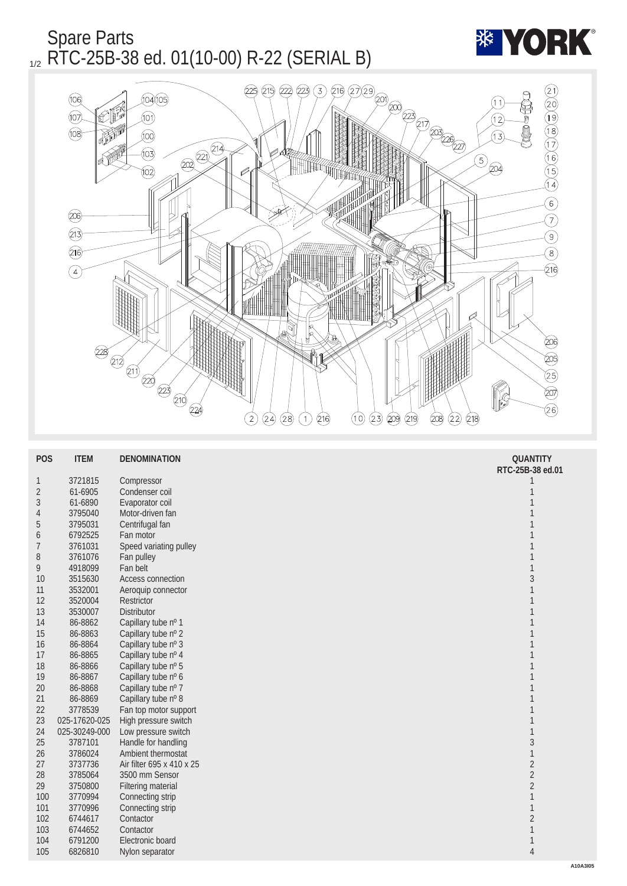



| <b>POS</b>       | <b>ITEM</b>   | <b>DENOMINATION</b>       | <b>QUANTITY</b>  |
|------------------|---------------|---------------------------|------------------|
|                  |               |                           | RTC-25B-38 ed.01 |
| $\mathbf{1}$     | 3721815       | Compressor                | 1                |
| $\sqrt{2}$       | 61-6905       | Condenser coil            | $\mathbf{1}$     |
| $\sqrt{3}$       | 61-6890       | Evaporator coil           | $\mathbf{1}$     |
| $\overline{4}$   | 3795040       | Motor-driven fan          | 1                |
| $\bf 5$          | 3795031       | Centrifugal fan           | 1                |
| $\boldsymbol{6}$ | 6792525       | Fan motor                 | 1                |
| 7                | 3761031       | Speed variating pulley    | 1                |
| 8                | 3761076       | Fan pulley                | 1                |
| 9                | 4918099       | Fan belt                  | $\mathbf{1}$     |
| <b>10</b>        | 3515630       | <b>Access connection</b>  | $\sqrt{3}$       |
| 11               | 3532001       | Aeroquip connector        | $\mathbf{1}$     |
| 12               | 3520004       | Restrictor                | 1                |
| 13               | 3530007       | <b>Distributor</b>        | $\mathbf{1}$     |
| 14               | 86-8862       | Capillary tube nº 1       | 1                |
| 15               | 86-8863       | Capillary tube nº 2       | 1                |
| 16               | 86-8864       | Capillary tube nº 3       | 1                |
| 17               | 86-8865       | Capillary tube nº 4       | 1                |
| 18               | 86-8866       | Capillary tube nº 5       | 1                |
| 19               | 86-8867       | Capillary tube nº 6       | 1                |
| 20               | 86-8868       | Capillary tube nº 7       | 1                |
| 21               | 86-8869       | Capillary tube nº 8       | 1                |
| 22               | 3778539       | Fan top motor support     | 1                |
| 23               | 025-17620-025 | High pressure switch      | 1                |
| 24               | 025-30249-000 | Low pressure switch       | $\mathbf{1}$     |
| 25               | 3787101       | Handle for handling       | $\sqrt{3}$       |
| 26               | 3786024       | <b>Ambient thermostat</b> | $\mathbf{1}$     |
| 27               | 3737736       | Air filter 695 x 410 x 25 | $\sqrt{2}$       |
| 28               | 3785064       | 3500 mm Sensor            | $\sqrt{2}$       |
| 29               | 3750800       | <b>Filtering material</b> | $\sqrt{2}$       |
| 100              | 3770994       | Connecting strip          | $\mathbf{1}$     |
| 101              | 3770996       | Connecting strip          | $\mathbf{1}$     |
| 102              | 6744617       | Contactor                 | $\boldsymbol{2}$ |
| 103              | 6744652       | Contactor                 | $\mathbf{1}$     |
| 104              | 6791200       | Electronic board          | $\mathbf{1}$     |
| 105              | 6826810       | Nylon separator           | $\overline{4}$   |
|                  |               |                           |                  |

**\*\* YORK**